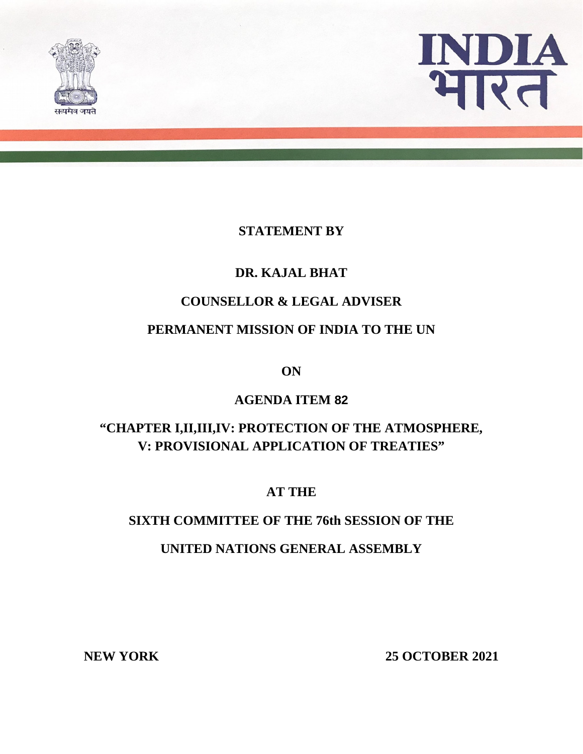



#### **STATEMENT BY**

## **DR. KAJAL BHAT**

## **COUNSELLOR & LEGAL ADVISER**

## **PERMANENT MISSION OF INDIA TO THE UN**

**ON**

## **AGENDA ITEM 82**

# **"CHAPTER I,II,III,IV: PROTECTION OF THE ATMOSPHERE, V: PROVISIONAL APPLICATION OF TREATIES"**

**AT THE**

#### **SIXTH COMMITTEE OF THE 76th SESSION OF THE**

#### **UNITED NATIONS GENERAL ASSEMBLY**

**NEW YORK 25 OCTOBER 2021**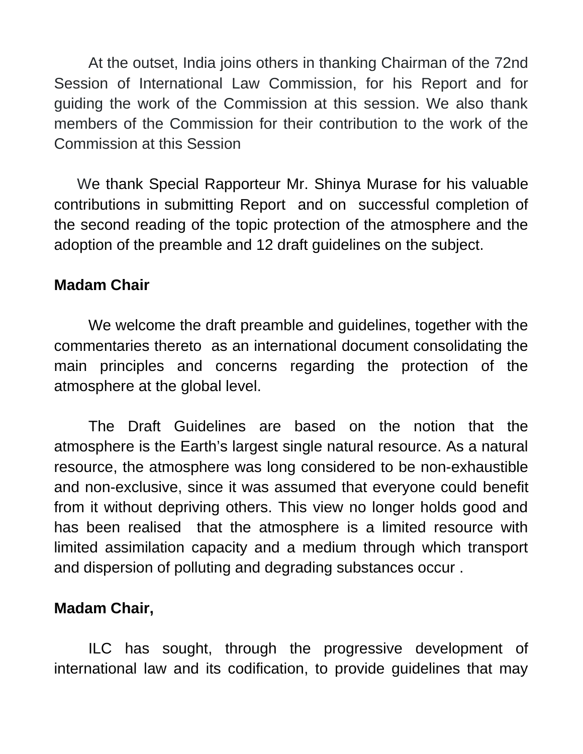At the outset, India joins others in thanking Chairman of the 72nd Session of International Law Commission, for his Report and for guiding the work of the Commission at this session. We also thank members of the Commission for their contribution to the work of the Commission at this Session

 We thank Special Rapporteur Mr. Shinya Murase for his valuable contributions in submitting Report and on successful completion of the second reading of the topic protection of the atmosphere and the adoption of the preamble and 12 draft guidelines on the subject.

# **Madam Chair**

We welcome the draft preamble and guidelines, together with the commentaries thereto as an international document consolidating the main principles and concerns regarding the protection of the atmosphere at the global level.

The Draft Guidelines are based on the notion that the atmosphere is the Earth's largest single natural resource. As a natural resource, the atmosphere was long considered to be non-exhaustible and non-exclusive, since it was assumed that everyone could benefit from it without depriving others. This view no longer holds good and has been realised that the atmosphere is a limited resource with limited assimilation capacity and a medium through which transport and dispersion of polluting and degrading substances occur .

# **Madam Chair,**

ILC has sought, through the progressive development of international law and its codification, to provide guidelines that may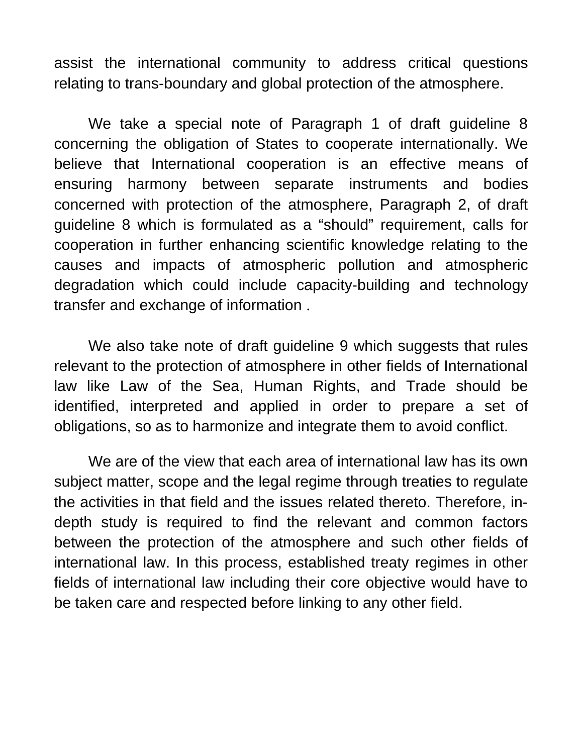assist the international community to address critical questions relating to trans-boundary and global protection of the atmosphere.

We take a special note of Paragraph 1 of draft guideline 8 concerning the obligation of States to cooperate internationally. We believe that International cooperation is an effective means of ensuring harmony between separate instruments and bodies concerned with protection of the atmosphere, Paragraph 2, of draft guideline 8 which is formulated as a "should" requirement, calls for cooperation in further enhancing scientific knowledge relating to the causes and impacts of atmospheric pollution and atmospheric degradation which could include capacity-building and technology transfer and exchange of information .

We also take note of draft quideline 9 which suggests that rules relevant to the protection of atmosphere in other fields of International law like Law of the Sea, Human Rights, and Trade should be identified, interpreted and applied in order to prepare a set of obligations, so as to harmonize and integrate them to avoid conflict.

We are of the view that each area of international law has its own subject matter, scope and the legal regime through treaties to regulate the activities in that field and the issues related thereto. Therefore, indepth study is required to find the relevant and common factors between the protection of the atmosphere and such other fields of international law. In this process, established treaty regimes in other fields of international law including their core objective would have to be taken care and respected before linking to any other field.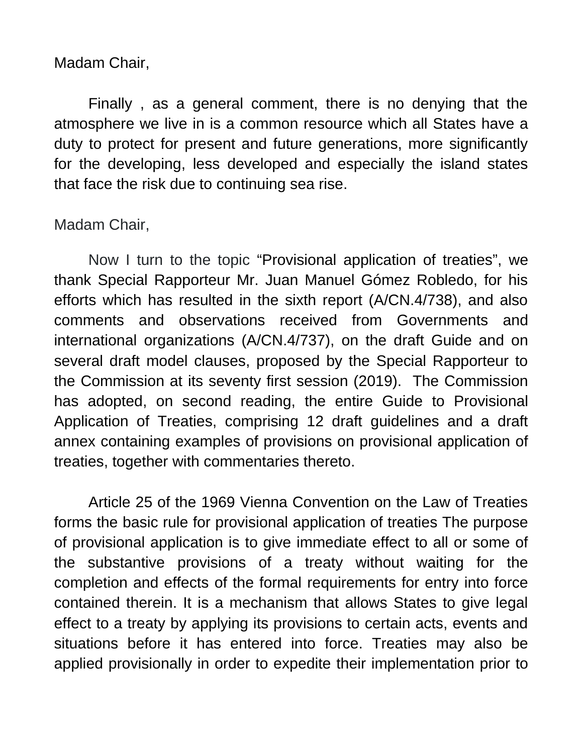Madam Chair,

Finally , as a general comment, there is no denying that the atmosphere we live in is a common resource which all States have a duty to protect for present and future generations, more significantly for the developing, less developed and especially the island states that face the risk due to continuing sea rise.

# Madam Chair,

Now I turn to the topic "Provisional application of treaties", we thank Special Rapporteur Mr. Juan Manuel Gómez Robledo, for his efforts which has resulted in the sixth report (A/CN.4/738), and also comments and observations received from Governments and international organizations (A/CN.4/737), on the draft Guide and on several draft model clauses, proposed by the Special Rapporteur to the Commission at its seventy first session (2019). The Commission has adopted, on second reading, the entire Guide to Provisional Application of Treaties, comprising 12 draft guidelines and a draft annex containing examples of provisions on provisional application of treaties, together with commentaries thereto.

 Article 25 of the 1969 Vienna Convention on the Law of Treaties forms the basic rule for provisional application of treaties The purpose of provisional application is to give immediate effect to all or some of the substantive provisions of a treaty without waiting for the completion and effects of the formal requirements for entry into force contained therein. It is a mechanism that allows States to give legal effect to a treaty by applying its provisions to certain acts, events and situations before it has entered into force. Treaties may also be applied provisionally in order to expedite their implementation prior to